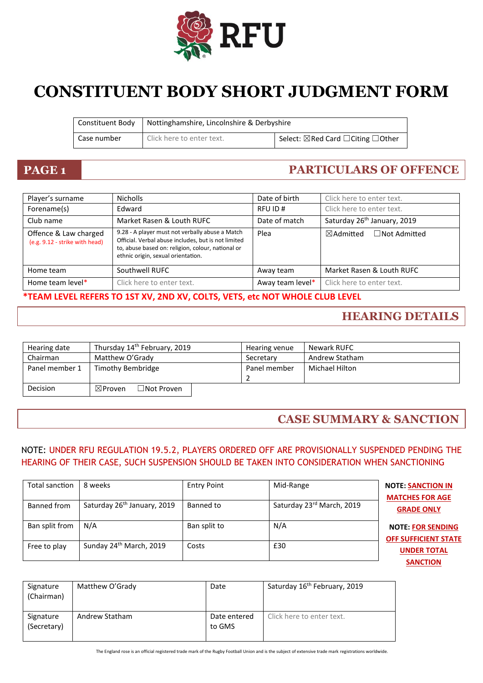

# **CONSTITUENT BODY SHORT JUDGMENT FORM**

|             | Constituent Body   Nottinghamshire, Lincolnshire & Derbyshire |                                    |
|-------------|---------------------------------------------------------------|------------------------------------|
| Case number | Click here to enter text.                                     | Select: ⊠Red Card □ Citing □ Other |

# **PAGE 1 PARTICULARS OF OFFENCE**

| Player's surname                                        | <b>Nicholls</b>                                                                                                                                                                                   | Date of birth    | Click here to enter text.                   |
|---------------------------------------------------------|---------------------------------------------------------------------------------------------------------------------------------------------------------------------------------------------------|------------------|---------------------------------------------|
| Forename(s)                                             | Edward                                                                                                                                                                                            | RFU ID#          | Click here to enter text.                   |
| Club name                                               | Market Rasen & Louth RUFC                                                                                                                                                                         | Date of match    | Saturday 26 <sup>th</sup> January, 2019     |
| Offence & Law charged<br>(e.g. 9.12 - strike with head) | 9.28 - A player must not verbally abuse a Match<br>Official. Verbal abuse includes, but is not limited<br>to, abuse based on: religion, colour, national or<br>ethnic origin, sexual orientation. | Plea             | $\boxtimes$ Admitted<br>$\Box$ Not Admitted |
| Home team                                               | Southwell RUFC                                                                                                                                                                                    | Away team        | Market Rasen & Louth RUFC                   |
| Home team level*                                        | Click here to enter text.                                                                                                                                                                         | Away team level* | Click here to enter text.                   |

#### **\*TEAM LEVEL REFERS TO 1ST XV, 2ND XV, COLTS, VETS, etc NOT WHOLE CLUB LEVEL**

## **HEARING DETAILS**

| Hearing date   | Thursday 14 <sup>th</sup> February, 2019 | Hearing venue | Newark RUFC    |
|----------------|------------------------------------------|---------------|----------------|
| Chairman       | Matthew O'Grady                          | Secretary     | Andrew Statham |
| Panel member 1 | Timothy Bembridge                        | Panel member  | Michael Hilton |
|                |                                          |               |                |
| Decision       | $\Box$ Not Proven<br>$\boxtimes$ Proven  |               |                |

#### **CASE SUMMARY & SANCTION**

#### NOTE: UNDER RFU REGULATION 19.5.2, PLAYERS ORDERED OFF ARE PROVISIONALLY SUSPENDED PENDING THE HEARING OF THEIR CASE, SUCH SUSPENSION SHOULD BE TAKEN INTO CONSIDERATION WHEN SANCTIONING

| Total sanction | 8 weeks                                 | <b>Entry Point</b> | Mid-Range                 | <b>NOTE: SANCTION IN</b><br><b>MATCHES FOR AGE</b>      |
|----------------|-----------------------------------------|--------------------|---------------------------|---------------------------------------------------------|
| Banned from    | Saturday 26 <sup>th</sup> January, 2019 | Banned to          | Saturday 23rd March, 2019 | <b>GRADE ONLY</b>                                       |
| Ban split from | N/A                                     | Ban split to       | N/A                       | <b>NOTE: FOR SENDING</b><br><b>OFF SUFFICIENT STATE</b> |
| Free to play   | Sunday 24th March, 2019                 | Costs              | £30                       | <b>UNDER TOTAL</b>                                      |
|                |                                         |                    |                           | <b>SANCTION</b>                                         |

| Signature<br>(Chairman)  | Matthew O'Grady | Date                   | Saturday 16 <sup>th</sup> February, 2019 |
|--------------------------|-----------------|------------------------|------------------------------------------|
| Signature<br>(Secretary) | Andrew Statham  | Date entered<br>to GMS | Click here to enter text.                |

The England rose is an official registered trade mark of the Rugby Football Union and is the subject of extensive trade mark registrations worldwide.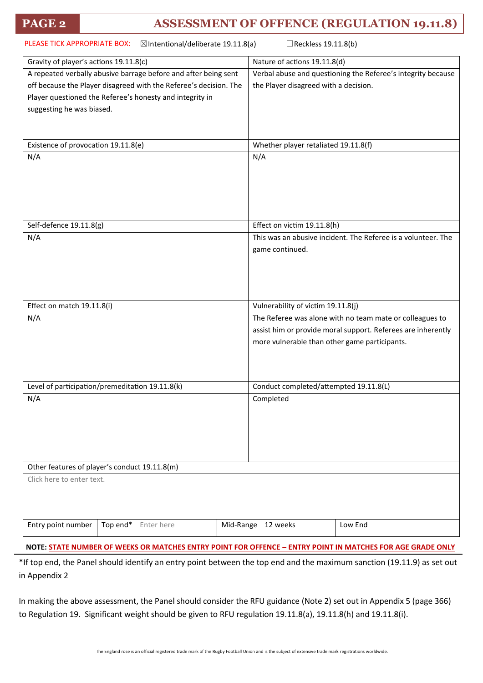## **PAGE 2 ASSESSMENT OF OFFENCE (REGULATION 19.11.8)**

| PLEASE TICK APPROPRIATE BOX:<br>⊠Intentional/deliberate 19.11.8(a)<br>Reckless 19.11.8(b) |                                                               |  |  |
|-------------------------------------------------------------------------------------------|---------------------------------------------------------------|--|--|
| Gravity of player's actions 19.11.8(c)                                                    | Nature of actions 19.11.8(d)                                  |  |  |
| A repeated verbally abusive barrage before and after being sent                           | Verbal abuse and questioning the Referee's integrity because  |  |  |
| off because the Player disagreed with the Referee's decision. The                         | the Player disagreed with a decision.                         |  |  |
| Player questioned the Referee's honesty and integrity in                                  |                                                               |  |  |
| suggesting he was biased.                                                                 |                                                               |  |  |
|                                                                                           |                                                               |  |  |
| Existence of provocation 19.11.8(e)                                                       | Whether player retaliated 19.11.8(f)                          |  |  |
| N/A                                                                                       | N/A                                                           |  |  |
|                                                                                           |                                                               |  |  |
|                                                                                           |                                                               |  |  |
|                                                                                           |                                                               |  |  |
|                                                                                           |                                                               |  |  |
|                                                                                           |                                                               |  |  |
| Self-defence 19.11.8(g)                                                                   | Effect on victim 19.11.8(h)                                   |  |  |
| N/A                                                                                       | This was an abusive incident. The Referee is a volunteer. The |  |  |
|                                                                                           | game continued.                                               |  |  |
|                                                                                           |                                                               |  |  |
|                                                                                           |                                                               |  |  |
|                                                                                           |                                                               |  |  |
|                                                                                           |                                                               |  |  |
| Effect on match 19.11.8(i)                                                                | Vulnerability of victim 19.11.8(j)                            |  |  |
| N/A                                                                                       | The Referee was alone with no team mate or colleagues to      |  |  |
|                                                                                           | assist him or provide moral support. Referees are inherently  |  |  |
|                                                                                           | more vulnerable than other game participants.                 |  |  |
|                                                                                           |                                                               |  |  |
|                                                                                           |                                                               |  |  |
|                                                                                           |                                                               |  |  |
| Level of participation/premeditation 19.11.8(k)                                           | Conduct completed/attempted 19.11.8(L)                        |  |  |
| N/A                                                                                       | Completed                                                     |  |  |
|                                                                                           |                                                               |  |  |
|                                                                                           |                                                               |  |  |
|                                                                                           |                                                               |  |  |
|                                                                                           |                                                               |  |  |
| Other features of player's conduct 19.11.8(m)                                             |                                                               |  |  |
| Click here to enter text.                                                                 |                                                               |  |  |
|                                                                                           |                                                               |  |  |
|                                                                                           |                                                               |  |  |
|                                                                                           |                                                               |  |  |
| Top end*<br>Enter here<br>Entry point number                                              | Mid-Range 12 weeks<br>Low End                                 |  |  |
|                                                                                           |                                                               |  |  |

**NOTE: STATE NUMBER OF WEEKS OR MATCHES ENTRY POINT FOR OFFENCE – ENTRY POINT IN MATCHES FOR AGE GRADE ONLY**

\*If top end, the Panel should identify an entry point between the top end and the maximum sanction (19.11.9) as set out in Appendix 2

In making the above assessment, the Panel should consider the RFU guidance (Note 2) set out in Appendix 5 (page 366) to Regulation 19. Significant weight should be given to RFU regulation 19.11.8(a), 19.11.8(h) and 19.11.8(i).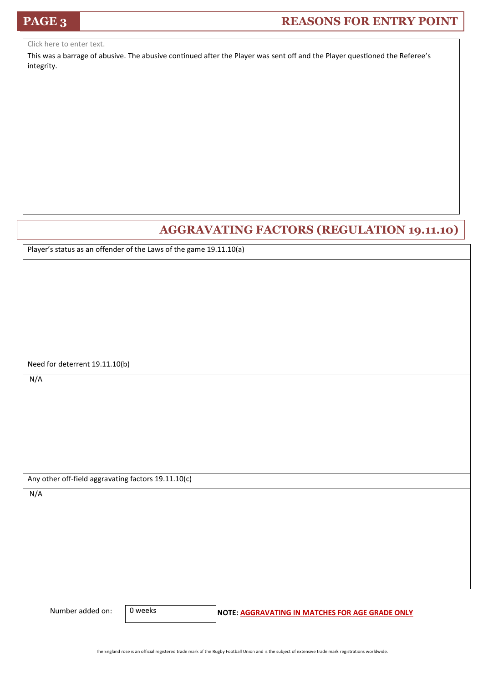## **PAGE 3 REASONS FOR ENTRY POINT**

Click here to enter text.

This was a barrage of abusive. The abusive continued after the Player was sent off and the Player questioned the Referee's integrity.

# **AGGRAVATING FACTORS (REGULATION 19.11.10)**

Player's status as an offender of the Laws of the game 19.11.10(a)

Need for deterrent 19.11.10(b)

N/A

Any other off-field aggravating factors 19.11.10(c)

N/A

0 weeks

Number added on: 0 weeks **NOTE: AGGRAVATING IN MATCHES FOR AGE GRADE ONLY**